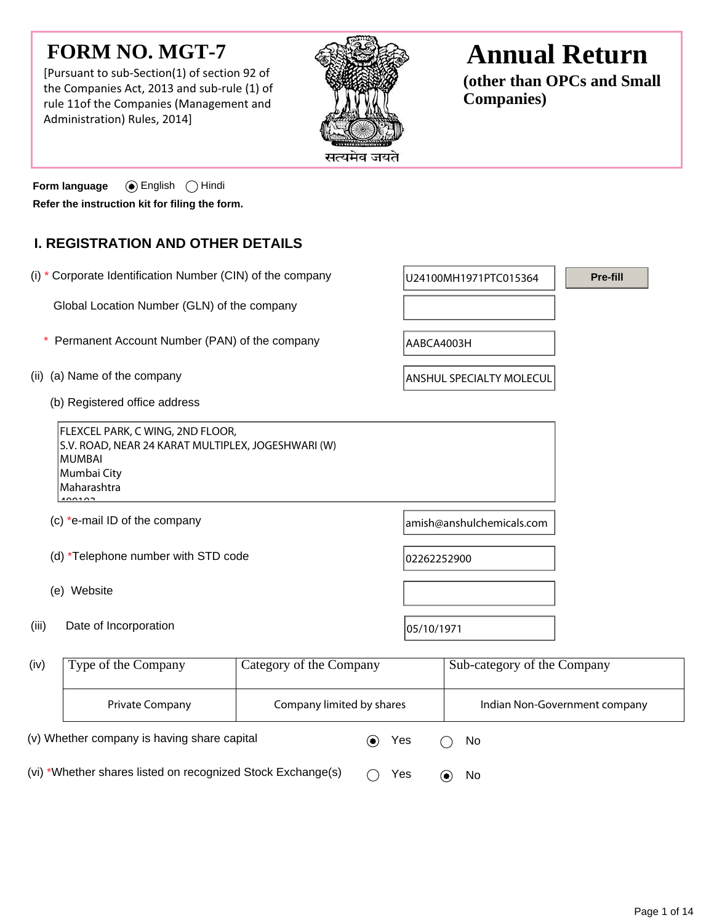## **FORM NO. MGT-7**

[Pursuant to sub-Section(1) of section 92 of the Companies Act, 2013 and sub-rule (1) of rule 11of the Companies (Management and Administration) Rules, 2014]



# **Annual Return**

**(other than OPCs and Small Companies)**

**Form language** (a) English  $\bigcap$  Hindi **Refer the instruction kit for filing the form.**

## **I. REGISTRATION AND OTHER DETAILS**

(i)  $*$  Corporate Identification Number (CIN) of the company  $|_{U24100MH1971PTC015364}$  Global Location Number (GLN) of the company (ii) (a) Name of the company ANSHUL SPECIALTY MOLECUL (b) Registered office address FLEXCEL PARK, C WING, 2ND FLOOR, S.V. ROAD, NEAR 24 KARAT MULTIPLEX, JOGESHWARI (W) MUMBAI Mumbai City Maharashtra  $100102$ (c)  $*$ e-mail ID of the company and  $\alpha$  amish@anshulchemicals.com (d)  $*$ Telephone number with STD code  $\vert$  02262252900 (e) Website (iii) Date of Incorporation  $|05/10/1971$ Type of the Company Category of the Company Sub-category of the Company (iv) **Pre-fill** \* Permanent Account Number (PAN) of the company  $AABCA4003H$ 

Private Company The Company limited by shares Indian Non-Government company

(v) Whether company is having share capital  $\bullet$  Yes  $\circ$  No

(vi) \*Whether shares listed on recognized Stock Exchange(s)  $\bigcirc$  Yes  $\bigcirc$  No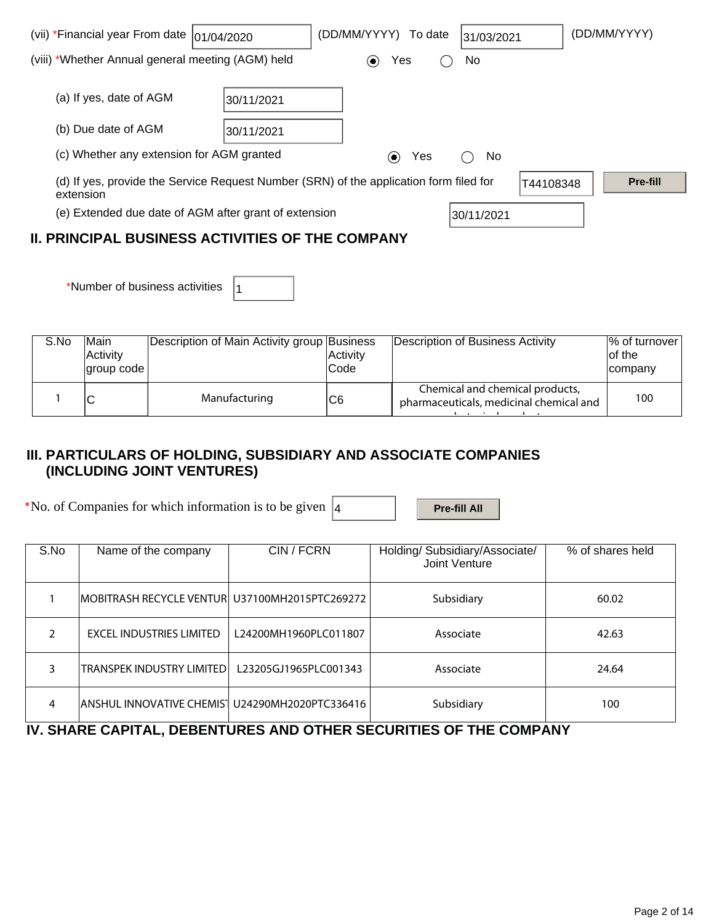| (vii) *Financial year From date  01/04/2020             |            | (DD/MM/YYYY)<br>To date                                                                | 31/03/2021 | (DD/MM/YYYY)    |  |  |  |
|---------------------------------------------------------|------------|----------------------------------------------------------------------------------------|------------|-----------------|--|--|--|
| (viii) *Whether Annual general meeting (AGM) held       |            | Yes<br>$\left( \bullet \right)$                                                        | No         |                 |  |  |  |
| (a) If yes, date of AGM                                 | 30/11/2021 |                                                                                        |            |                 |  |  |  |
| (b) Due date of AGM                                     | 30/11/2021 |                                                                                        |            |                 |  |  |  |
| (c) Whether any extension for AGM granted               |            | Yes<br>$(\bullet)$                                                                     | No.        |                 |  |  |  |
| extension                                               |            | (d) If yes, provide the Service Request Number (SRN) of the application form filed for | T44108348  | <b>Pre-fill</b> |  |  |  |
| (e) Extended due date of AGM after grant of extension   |            |                                                                                        | 30/11/2021 |                 |  |  |  |
| <b>II. PRINCIPAL BUSINESS ACTIVITIES OF THE COMPANY</b> |            |                                                                                        |            |                 |  |  |  |

| *Number of business activities $ _1$ |  |
|--------------------------------------|--|
|--------------------------------------|--|

| S.No | <b>Main</b><br><b>Activity</b><br>lgroup code l | Description of Main Activity group Business | Activity<br>lCode | Description of Business Activity                                           | % of turnover<br>lof the<br>company |
|------|-------------------------------------------------|---------------------------------------------|-------------------|----------------------------------------------------------------------------|-------------------------------------|
|      |                                                 | Manufacturing                               | C6                | Chemical and chemical products,<br>pharmaceuticals, medicinal chemical and | 100                                 |

### **III. PARTICULARS OF HOLDING, SUBSIDIARY AND ASSOCIATE COMPANIES (INCLUDING JOINT VENTURES)**

\*No. of Companies for which information is to be given  $\boxed{4}$  **Pre-fill All** 

| S.No          | Name of the company                              | CIN / FCRN            | Holding/ Subsidiary/Associate/<br>Joint Venture | % of shares held |
|---------------|--------------------------------------------------|-----------------------|-------------------------------------------------|------------------|
|               | IMOBITRASH RECYCLE VENTURI U37100MH2015PTC269272 |                       | Subsidiary                                      | 60.02            |
| $\mathcal{P}$ | <b>EXCEL INDUSTRIES LIMITED</b>                  | L24200MH1960PLC011807 | Associate                                       | 42.63            |
|               | <b>TRANSPEK INDUSTRY LIMITED</b>                 | L23205GJ1965PLC001343 | Associate                                       | 24.64            |
| 4             | ANSHUL INNOVATIVE CHEMIS   U24290MH2020PTC336416 |                       | Subsidiary                                      | 100              |

## **IV. SHARE CAPITAL, DEBENTURES AND OTHER SECURITIES OF THE COMPANY**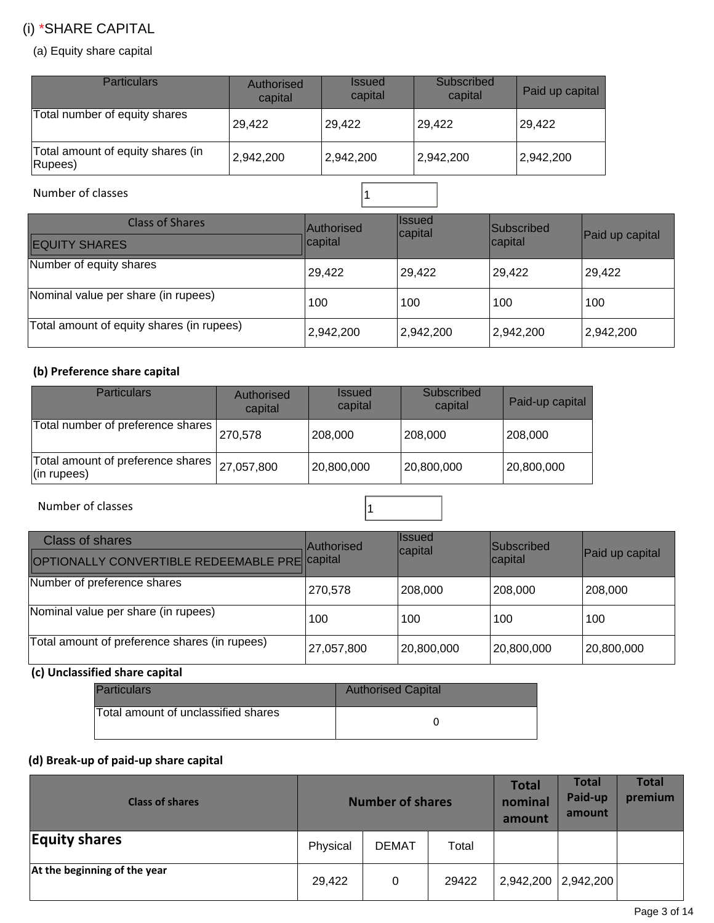## (i) \*SHARE CAPITAL

(a) Equity share capital

| <b>Particulars</b>                           | Authorised<br>capital | <b>Issued</b><br>capital | Subscribed<br>capital | Paid up capital |
|----------------------------------------------|-----------------------|--------------------------|-----------------------|-----------------|
| Total number of equity shares                | 29,422                | 29,422                   | 29,422                | 29,422          |
| Total amount of equity shares (in<br>Rupees) | 2,942,200             | 2,942,200                | 2,942,200             | 2,942,200       |

Number of classes 2008 and 2008 and 2008 and 2008 and 2008 and 2008 and 2008 and 2008 and 2008 and 2008 and 20

| <b>Class of Shares</b><br><b>EQUITY SHARES</b> | <b>Authorised</b><br>capital | <b>Issued</b><br>capital | <b>Subscribed</b><br>capital | Paid up capital |
|------------------------------------------------|------------------------------|--------------------------|------------------------------|-----------------|
| Number of equity shares                        | 29,422                       | 29,422                   | 29,422                       | 29,422          |
| Nominal value per share (in rupees)            | 100                          | 100                      | 100                          | 100             |
| Total amount of equity shares (in rupees)      | 2,942,200                    | 2,942,200                | 2,942,200                    | 2,942,200       |

#### **(b) Preference share capital**

| <b>Particulars</b>                                                  | Authorised<br>capital | <b>Issued</b><br>capital | Subscribed<br>capital | Paid-up capital |
|---------------------------------------------------------------------|-----------------------|--------------------------|-----------------------|-----------------|
| Total number of preference shares                                   | 270,578               | 208,000                  | 208,000               | 208,000         |
| Total amount of preference shares   27,057,800<br>$($ in rupees $)$ |                       | 20,800,000               | 20,800,000            | 20,800,000      |

Number of classes and a set of classes and a set of classes and a set of classes and a set of  $\vert$  1

| <b>Class of shares</b><br>OPTIONALLY CONVERTIBLE REDEEMABLE PRECApital | <b>Authorised</b> | <b>Issued</b><br>capital | Subscribed<br>capital | Paid up capital |
|------------------------------------------------------------------------|-------------------|--------------------------|-----------------------|-----------------|
| Number of preference shares                                            | 270,578           | 208,000                  | 208,000               | 208,000         |
| Nominal value per share (in rupees)                                    | 100               | 100                      | 100                   | 100             |
| Total amount of preference shares (in rupees)                          | 27,057,800        | 20,800,000               | 20,800,000            | 20,800,000      |

### **(c) Unclassified share capital**

| <b>Particulars</b>                  | <b>Authorised Capital</b> |
|-------------------------------------|---------------------------|
| Total amount of unclassified shares |                           |

### **(d) Break-up of paid-up share capital**

| <b>Class of shares</b>       | <b>Number of shares</b> |              |       | <b>Total</b><br>nominal<br>amount | Total<br>Paid-up<br>amount | <b>Total</b><br>premium |
|------------------------------|-------------------------|--------------|-------|-----------------------------------|----------------------------|-------------------------|
| <b>Equity shares</b>         | Physical                | <b>DEMAT</b> | Total |                                   |                            |                         |
| At the beginning of the year | 29,422                  | 0            | 29422 | 2,942,200                         | 2,942,200                  |                         |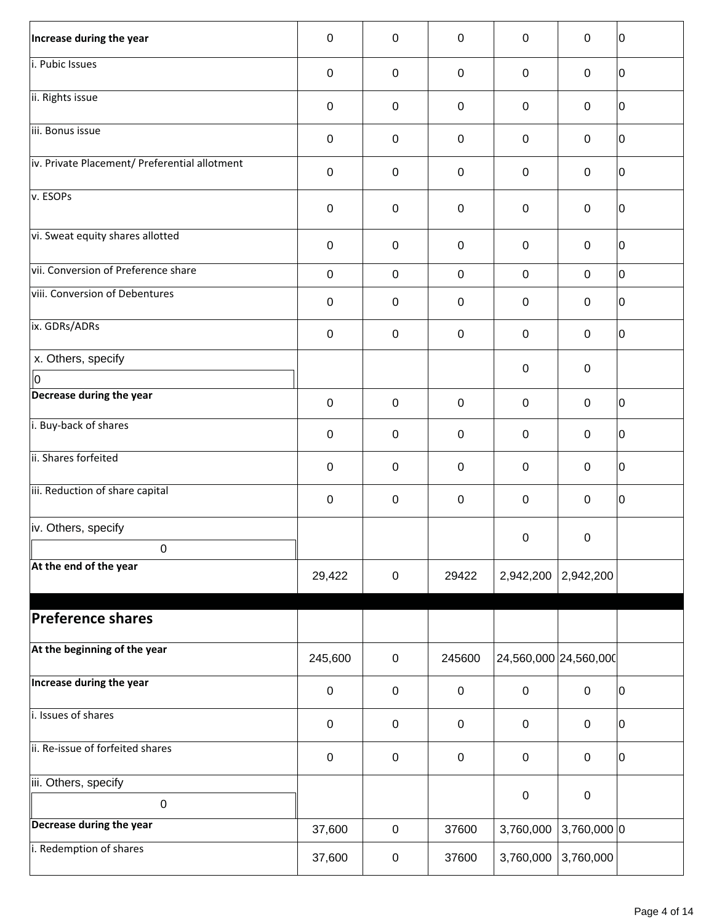| Increase during the year                      | $\mathbf 0$      | $\mathbf 0$      | $\mathbf 0$ | $\mathbf 0$           | $\mathbf 0$      | 10 |
|-----------------------------------------------|------------------|------------------|-------------|-----------------------|------------------|----|
| i. Pubic Issues                               | $\mathbf 0$      | $\mathbf 0$      | $\mathbf 0$ | 0                     | 0                | ١o |
| ii. Rights issue                              | $\boldsymbol{0}$ | $\mathbf 0$      | $\mathbf 0$ | $\boldsymbol{0}$      | $\mathbf 0$      | 10 |
| iii. Bonus issue                              | $\boldsymbol{0}$ | $\mathbf 0$      | $\pmb{0}$   | $\pmb{0}$             | $\mathbf 0$      | 10 |
| iv. Private Placement/ Preferential allotment | $\boldsymbol{0}$ | $\mathbf 0$      | $\mathbf 0$ | 0                     | 0                | 10 |
| v. ESOPs                                      | $\mathbf 0$      | $\mathbf 0$      | $\pmb{0}$   | $\mathbf 0$           | $\mathbf 0$      | 10 |
| vi. Sweat equity shares allotted              | $\pmb{0}$        | $\mathbf 0$      | $\pmb{0}$   | $\boldsymbol{0}$      | $\boldsymbol{0}$ | ١o |
| vii. Conversion of Preference share           | $\boldsymbol{0}$ | $\mathbf 0$      | $\mathbf 0$ | $\mathbf 0$           | $\mathbf 0$      | lo |
| viii. Conversion of Debentures                | $\boldsymbol{0}$ | $\mathbf 0$      | $\mathbf 0$ | $\mathbf 0$           | $\mathbf 0$      | 10 |
| ix. GDRs/ADRs                                 | $\boldsymbol{0}$ | $\mathbf 0$      | $\mathbf 0$ | $\mathbf 0$           | $\mathbf 0$      | lo |
| x. Others, specify                            |                  |                  |             | $\pmb{0}$             | 0                |    |
| 0<br>Decrease during the year                 |                  |                  |             |                       |                  |    |
|                                               | $\mathbf 0$      | $\mathbf 0$      | $\mathbf 0$ | $\mathbf 0$           | $\mathbf 0$      | 10 |
| i. Buy-back of shares                         | $\boldsymbol{0}$ | $\mathbf 0$      | $\mathbf 0$ | $\mathbf 0$           | $\mathbf 0$      | ١o |
| ii. Shares forfeited                          | $\boldsymbol{0}$ | $\mathbf 0$      | $\mathbf 0$ | $\boldsymbol{0}$      | $\mathbf 0$      | 10 |
| iii. Reduction of share capital               | $\boldsymbol{0}$ | $\boldsymbol{0}$ | $\mathbf 0$ | $\mathbf 0$           | $\mathbf 0$      | ١o |
| iv. Others, specify                           |                  |                  |             | $\pmb{0}$             | $\mathbf 0$      |    |
| $\mathbf 0$                                   |                  |                  |             |                       |                  |    |
| At the end of the year                        | 29,422           | $\mathbf 0$      | 29422       | 2,942,200             | 2,942,200        |    |
| <b>Preference shares</b>                      |                  |                  |             |                       |                  |    |
| At the beginning of the year                  | 245,600          | $\mathsf 0$      | 245600      | 24,560,000 24,560,000 |                  |    |
| Increase during the year                      | $\boldsymbol{0}$ | $\mathbf 0$      | $\pmb{0}$   | $\pmb{0}$             | $\boldsymbol{0}$ | 0  |
| i. Issues of shares                           | $\mathsf 0$      | $\mathbf 0$      | $\mathbf 0$ | $\mathbf 0$           | $\mathbf 0$      | 10 |
| ii. Re-issue of forfeited shares              | $\pmb{0}$        | $\mathbf 0$      | $\pmb{0}$   | $\boldsymbol{0}$      | $\boldsymbol{0}$ | 10 |
| iii. Others, specify                          |                  |                  |             |                       |                  |    |
| $\pmb{0}$                                     |                  |                  |             | $\pmb{0}$             | $\pmb{0}$        |    |
| Decrease during the year                      | 37,600           | $\mathbf 0$      | 37600       | 3,760,000             | $3,760,000$ 0    |    |
| i. Redemption of shares                       | 37,600           | $\pmb{0}$        | 37600       | 3,760,000             | 3,760,000        |    |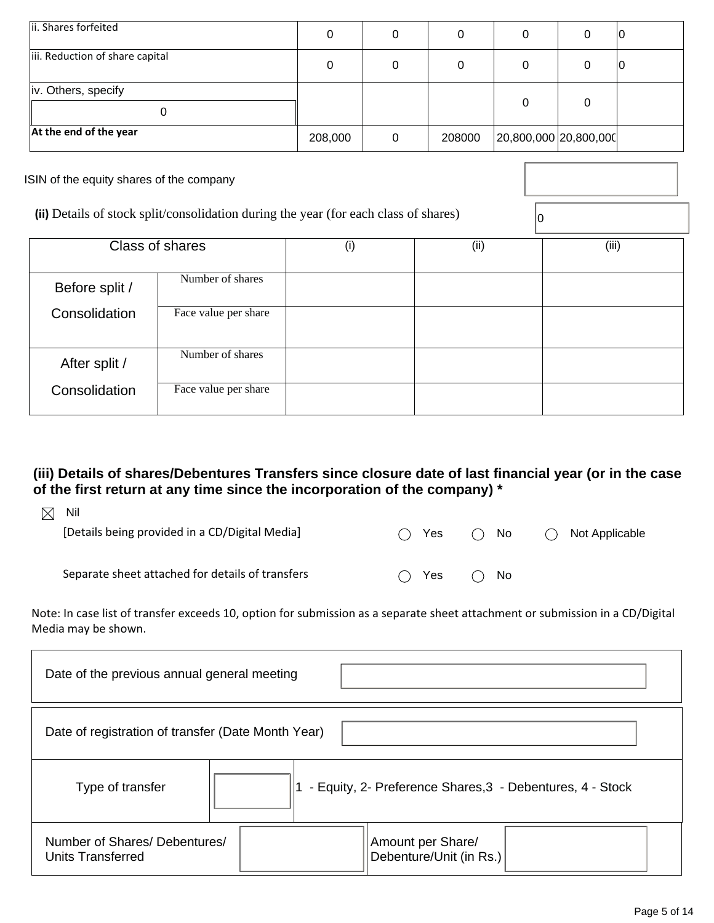| ii. Shares forfeited            |         | 0      |                       | ΙU |
|---------------------------------|---------|--------|-----------------------|----|
| iii. Reduction of share capital |         | 0      |                       | IU |
| iv. Others, specify             |         |        |                       |    |
| At the end of the year          | 208,000 | 208000 | 20,800,000 20,800,000 |    |

ISIN of the equity shares of the company

(ii) Details of stock split/consolidation during the year (for each class of shares)  $\boxed{0}$ 

|                | Class of shares      | (i) | (ii) | (iii) |
|----------------|----------------------|-----|------|-------|
| Before split / | Number of shares     |     |      |       |
| Consolidation  | Face value per share |     |      |       |
| After split /  | Number of shares     |     |      |       |
| Consolidation  | Face value per share |     |      |       |

## **(iii) Details of shares/Debentures Transfers since closure date of last financial year (or in the case of the first return at any time since the incorporation of the company) \***

| $\bowtie$ | Nil                                              |                                               |     |     |              |                |
|-----------|--------------------------------------------------|-----------------------------------------------|-----|-----|--------------|----------------|
|           | [Details being provided in a CD/Digital Media]   |                                               | Yes | ( ) | No.          | Not Applicable |
|           |                                                  |                                               |     |     |              |                |
|           | Separate sheet attached for details of transfers | $\left( \begin{array}{c} \end{array} \right)$ | Yes |     | $\bigcap$ No |                |
|           |                                                  |                                               |     |     |              |                |

Note: In case list of transfer exceeds 10, option for submission as a separate sheet attachment or submission in a CD/Digital Media may be shown.

| Date of the previous annual general meeting        |                                                           |
|----------------------------------------------------|-----------------------------------------------------------|
| Date of registration of transfer (Date Month Year) |                                                           |
| Type of transfer                                   | - Equity, 2- Preference Shares, 3 - Debentures, 4 - Stock |
| Number of Shares/ Debentures/<br>Units Transferred | Amount per Share/<br>Debenture/Unit (in Rs.)              |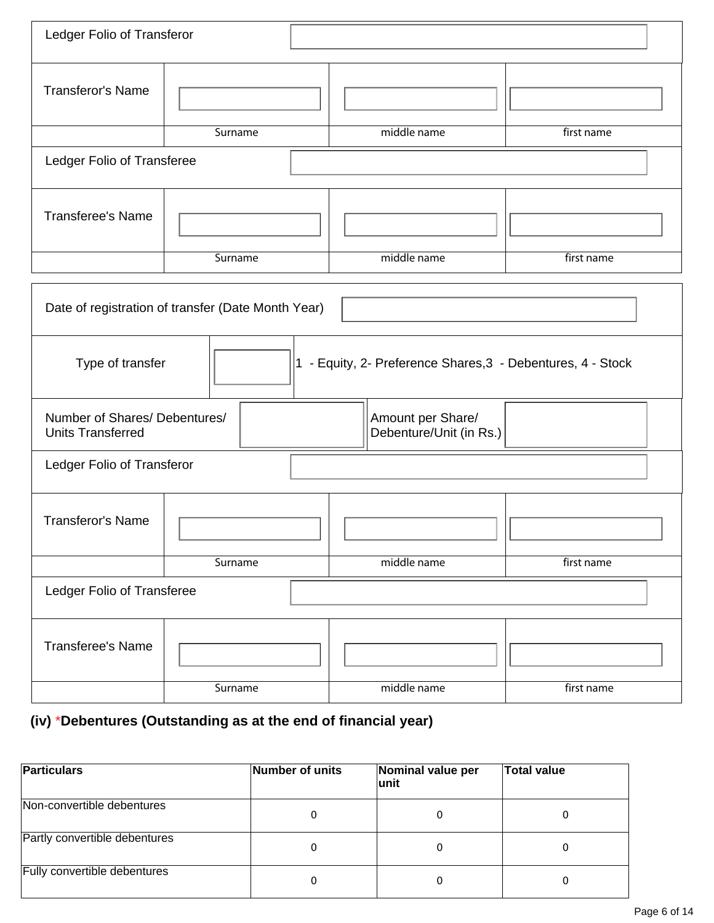| Ledger Folio of Transferor                                                      |         |                                              |            |  |  |  |
|---------------------------------------------------------------------------------|---------|----------------------------------------------|------------|--|--|--|
| <b>Transferor's Name</b>                                                        |         |                                              |            |  |  |  |
|                                                                                 | Surname | middle name                                  | first name |  |  |  |
| Ledger Folio of Transferee                                                      |         |                                              |            |  |  |  |
| <b>Transferee's Name</b>                                                        |         |                                              |            |  |  |  |
|                                                                                 | Surname | middle name                                  | first name |  |  |  |
| Date of registration of transfer (Date Month Year)                              |         |                                              |            |  |  |  |
| 1 - Equity, 2- Preference Shares, 3 - Debentures, 4 - Stock<br>Type of transfer |         |                                              |            |  |  |  |
| Number of Shares/ Debentures/<br><b>Units Transferred</b>                       |         | Amount per Share/<br>Debenture/Unit (in Rs.) |            |  |  |  |
| Ledger Folio of Transferor                                                      |         |                                              |            |  |  |  |
| <b>Transferor's Name</b>                                                        |         |                                              |            |  |  |  |
| Surname                                                                         |         | middle name                                  | first name |  |  |  |
| Ledger Folio of Transferee                                                      |         |                                              |            |  |  |  |
| <b>Transferee's Name</b>                                                        |         |                                              |            |  |  |  |
|                                                                                 | Surname | middle name                                  | first name |  |  |  |

## **(iv)** \***Debentures (Outstanding as at the end of financial year)**

| <b>Particulars</b>            | Number of units | Nominal value per<br>lunit | <b>Total value</b> |
|-------------------------------|-----------------|----------------------------|--------------------|
| Non-convertible debentures    | 0               |                            |                    |
| Partly convertible debentures | 0               | 0                          |                    |
| Fully convertible debentures  | 0               | 0                          |                    |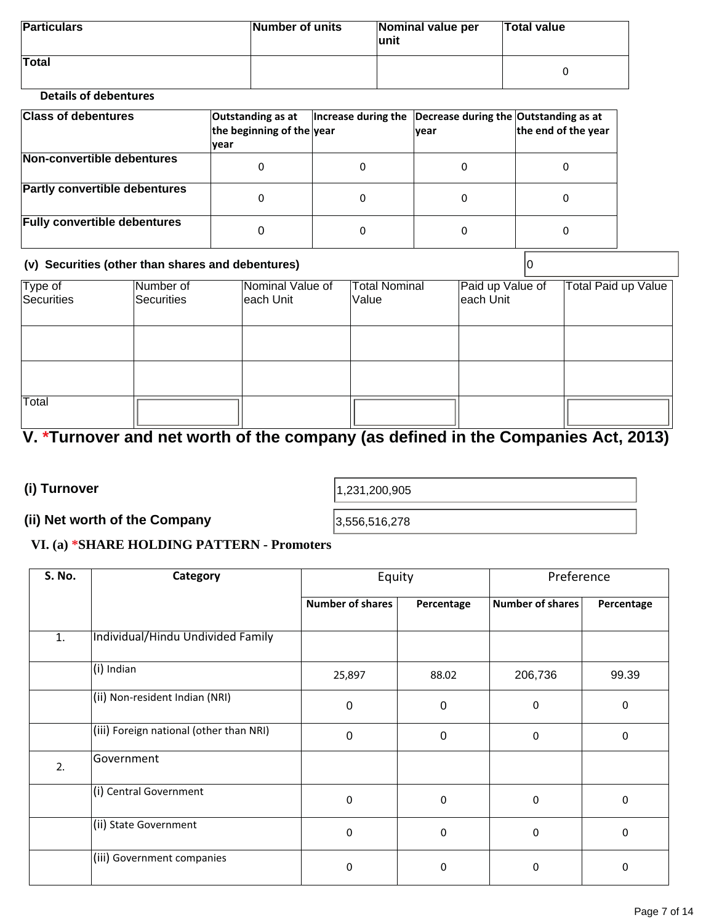| <b>Particulars</b>                                                                                              | Number of units | Nominal value per<br>lunit | <b>Total value</b> |
|-----------------------------------------------------------------------------------------------------------------|-----------------|----------------------------|--------------------|
| <b>Total</b><br>the contract of the contract of the contract of the contract of the contract of the contract of |                 |                            |                    |

#### **Details of debentures**

| <b>Class of debentures</b>           | Outstanding as at<br>the beginning of the year<br> vear | Increase during the $\vert$ Decrease during the Outstanding as at | <b>vear</b> | the end of the year |
|--------------------------------------|---------------------------------------------------------|-------------------------------------------------------------------|-------------|---------------------|
| Non-convertible debentures           | 0                                                       | 0                                                                 |             |                     |
| <b>Partly convertible debentures</b> | 0                                                       | 0                                                                 |             |                     |
| <b>Fully convertible debentures</b>  |                                                         | 0                                                                 |             |                     |

#### **(v) Securities (other than shares and debentures)** 0

| Type of<br>Securities | Number of<br>Securities | Nominal Value of<br>each Unit | <b>Total Nominal</b><br>Value | Paid up Value of<br>each Unit | <b>Total Paid up Value</b> |
|-----------------------|-------------------------|-------------------------------|-------------------------------|-------------------------------|----------------------------|
|                       |                         |                               |                               |                               |                            |
|                       |                         |                               |                               |                               |                            |
| Total                 |                         |                               |                               |                               |                            |

## **V. \*Turnover and net worth of the company (as defined in the Companies Act, 2013)**

**(i) Turnover** 

1,231,200,905

#### **(ii) Net worth of the Company**

3,556,516,278

### **VI. (a) \*SHARE HOLDING PATTERN - Promoters**

| S. No. | Category                                | Equity                  |                  | Preference              |            |
|--------|-----------------------------------------|-------------------------|------------------|-------------------------|------------|
|        |                                         | <b>Number of shares</b> | Percentage       | <b>Number of shares</b> | Percentage |
| 1.     | Individual/Hindu Undivided Family       |                         |                  |                         |            |
|        | $(i)$ Indian                            | 25,897                  | 88.02            | 206,736                 | 99.39      |
|        | (ii) Non-resident Indian (NRI)          | $\mathbf 0$             | $\boldsymbol{0}$ | 0                       | $\pmb{0}$  |
|        | (iii) Foreign national (other than NRI) | $\mathbf 0$             | $\boldsymbol{0}$ | 0                       | 0          |
| 2.     | Government                              |                         |                  |                         |            |
|        | (i) Central Government                  | $\mathbf 0$             | 0                | $\Omega$                | 0          |
|        | (ii) State Government                   | 0                       | 0                | 0                       | 0          |
|        | (iii) Government companies              | 0                       | 0                | $\Omega$                | 0          |
|        |                                         |                         |                  |                         |            |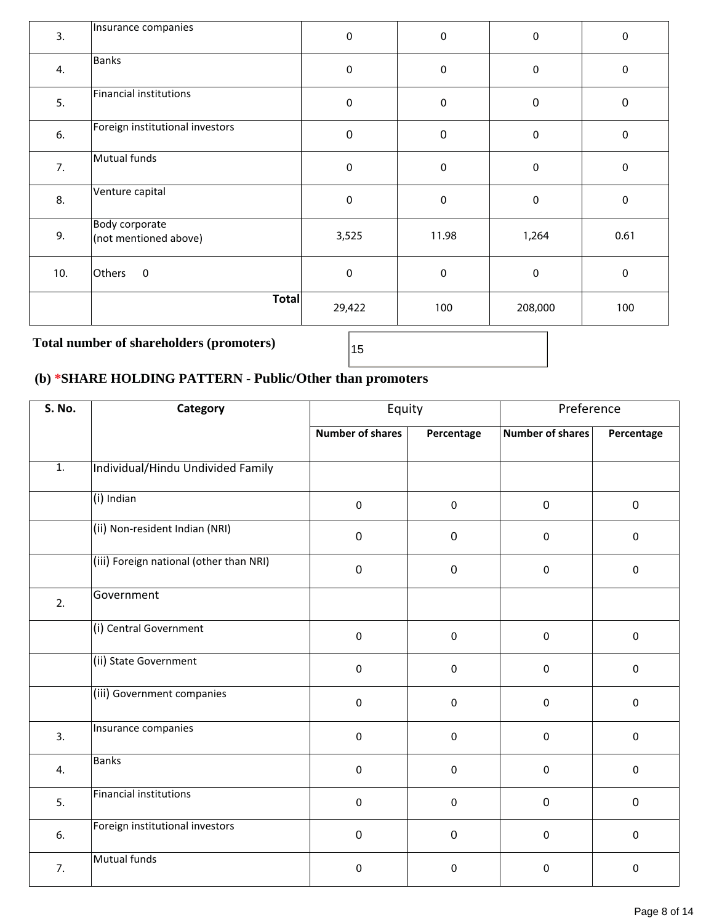| <b>Banks</b><br>$\pmb{0}$<br>$\pmb{0}$<br>4.<br>$\pmb{0}$<br>Financial institutions<br>5.<br>$\pmb{0}$<br>$\pmb{0}$<br>$\boldsymbol{0}$<br>Foreign institutional investors<br>$\mathbf 0$<br>6.<br>$\pmb{0}$<br>$\mathbf 0$ | $\pmb{0}$<br>$\boldsymbol{0}$ |
|-----------------------------------------------------------------------------------------------------------------------------------------------------------------------------------------------------------------------------|-------------------------------|
|                                                                                                                                                                                                                             |                               |
|                                                                                                                                                                                                                             |                               |
|                                                                                                                                                                                                                             | $\pmb{0}$                     |
| Mutual funds<br>7.<br>$\mathbf 0$<br>$\pmb{0}$<br>$\mathbf 0$                                                                                                                                                               | $\pmb{0}$                     |
| Venture capital<br>8.<br>$\mathbf 0$<br>$\pmb{0}$<br>$\mathbf 0$                                                                                                                                                            | $\pmb{0}$                     |
| Body corporate<br>9.<br>3,525<br>11.98<br>1,264<br>(not mentioned above)                                                                                                                                                    | 0.61                          |
| $\pmb{0}$<br>$\pmb{0}$<br>$\pmb{0}$<br>Others<br>$\pmb{0}$<br>10.                                                                                                                                                           | $\pmb{0}$                     |
| Total<br>29,422<br>100<br>208,000                                                                                                                                                                                           | 100                           |

## Total number of shareholders (promoters)  $\sqrt{15}$

## **(b) \*SHARE HOLDING PATTERN - Public/Other than promoters**

| S. No.           | Category                                   | Equity                  |             | Preference              |              |
|------------------|--------------------------------------------|-------------------------|-------------|-------------------------|--------------|
|                  |                                            | <b>Number of shares</b> | Percentage  | <b>Number of shares</b> | Percentage   |
| $\overline{1}$ . | Individual/Hindu Undivided Family          |                         |             |                         |              |
|                  | $(i)$ Indian                               | $\mathbf 0$             | $\mathbf 0$ | $\mathbf 0$             | $\mathbf{0}$ |
|                  | (ii) Non-resident Indian (NRI)             | $\mathbf 0$             | $\pmb{0}$   | $\pmb{0}$               | $\mathbf 0$  |
|                  | (iii) Foreign national (other than NRI)    | $\mathbf 0$             | $\mathbf 0$ | $\mathbf 0$             | $\mathbf 0$  |
| 2.               | Government                                 |                         |             |                         |              |
|                  | (i) Central Government                     | $\mathbf 0$             | $\Omega$    | $\mathbf 0$             | $\mathbf 0$  |
|                  | (ii) State Government                      | $\mathbf 0$             | $\mathbf 0$ | $\mathbf 0$             | $\mathbf 0$  |
|                  | $\sqrt{\text{(iii)}}$ Government companies | $\mathbf 0$             | $\Omega$    | $\mathbf 0$             | $\mathbf 0$  |
| 3.               | Insurance companies                        | $\mathbf 0$             | 0           | $\mathbf 0$             | $\mathbf 0$  |
| 4.               | Banks                                      | $\mathbf 0$             | 0           | $\mathbf 0$             | $\mathbf{0}$ |
| 5.               | Financial institutions                     | $\mathbf 0$             | 0           | $\mathbf 0$             | $\mathbf 0$  |
| 6.               | Foreign institutional investors            | $\mathbf 0$             | $\mathbf 0$ | $\mathbf 0$             | $\mathbf 0$  |
| 7.               | Mutual funds                               | $\mathbf 0$             | 0           | $\mathbf 0$             | $\mathbf 0$  |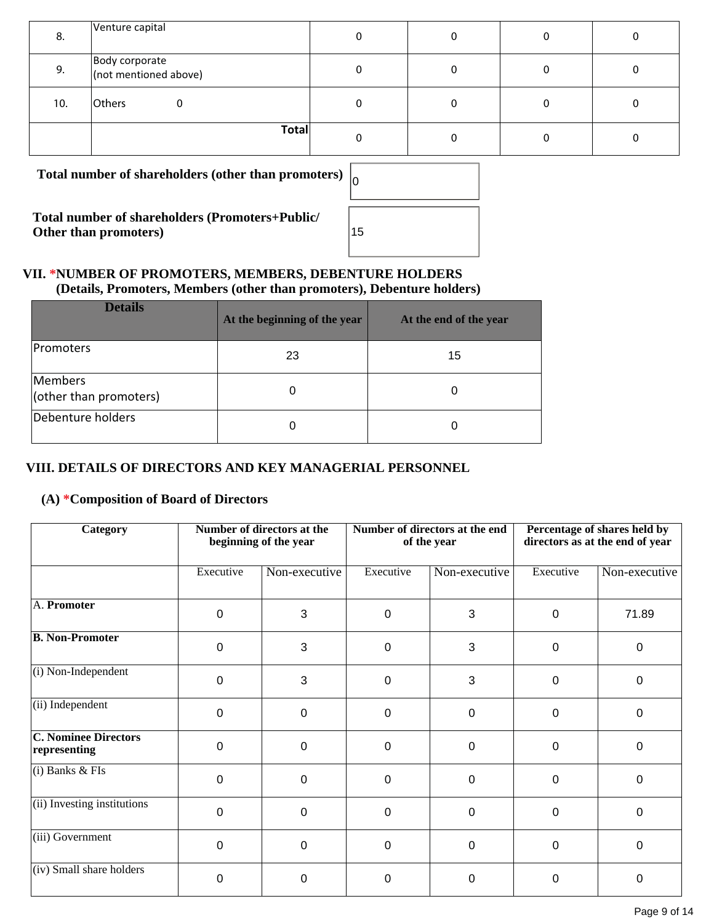| 8.  | Venture capital                         |  |  |
|-----|-----------------------------------------|--|--|
| 9.  | Body corporate<br>(not mentioned above) |  |  |
| 10. | Others                                  |  |  |
|     | Total                                   |  |  |

Total number of shareholders (other than promoters)

**Total number of shareholders (Promoters+Public/ Other than promoters)** 

| 0  |  |  |  |
|----|--|--|--|
|    |  |  |  |
| 15 |  |  |  |
|    |  |  |  |

#### **VII. \*NUMBER OF PROMOTERS, MEMBERS, DEBENTURE HOLDERS (Details, Promoters, Members (other than promoters), Debenture holders)**

| <b>Details</b>                    | At the beginning of the year | At the end of the year |
|-----------------------------------|------------------------------|------------------------|
| <b>Promoters</b>                  | 23                           | 15                     |
| Members<br>(other than promoters) | 0                            |                        |
| Debenture holders                 | O                            |                        |

### **VIII. DETAILS OF DIRECTORS AND KEY MANAGERIAL PERSONNEL**

### **(A) \*Composition of Board of Directors**

| Category                                    | Number of directors at the<br>beginning of the year |                | Number of directors at the end<br>of the year |                | Percentage of shares held by<br>directors as at the end of year |               |
|---------------------------------------------|-----------------------------------------------------|----------------|-----------------------------------------------|----------------|-----------------------------------------------------------------|---------------|
|                                             | Executive                                           | Non-executive  | Executive                                     | Non-executive  | Executive                                                       | Non-executive |
| A. Promoter                                 | 0                                                   | 3              | 0                                             | 3              | 0                                                               | 71.89         |
| <b>B. Non-Promoter</b>                      | 0                                                   | 3              | 0                                             | 3              | 0                                                               | 0             |
| (i) Non-Independent                         | $\mathbf 0$                                         | 3              | 0                                             | 3              | 0                                                               | $\mathbf{0}$  |
| (ii) Independent                            | $\mathbf{0}$                                        | 0              | $\Omega$                                      | $\Omega$       | 0                                                               | $\mathbf{0}$  |
| <b>C. Nominee Directors</b><br>representing | $\mathbf{0}$                                        | $\overline{0}$ | $\mathbf 0$                                   | $\overline{0}$ | 0                                                               | $\mathbf{0}$  |
| $(i)$ Banks & FIs                           | $\Omega$                                            | 0              | 0                                             | 0              | 0                                                               | $\mathbf{0}$  |
| (ii) Investing institutions                 | $\Omega$                                            | $\Omega$       | $\Omega$                                      | $\Omega$       | 0                                                               | $\Omega$      |
| (iii) Government                            | $\Omega$                                            | $\overline{0}$ | $\Omega$                                      | $\Omega$       | 0                                                               | $\mathbf{0}$  |
| (iv) Small share holders                    | $\Omega$                                            | 0              | 0                                             | 0              | 0                                                               | 0             |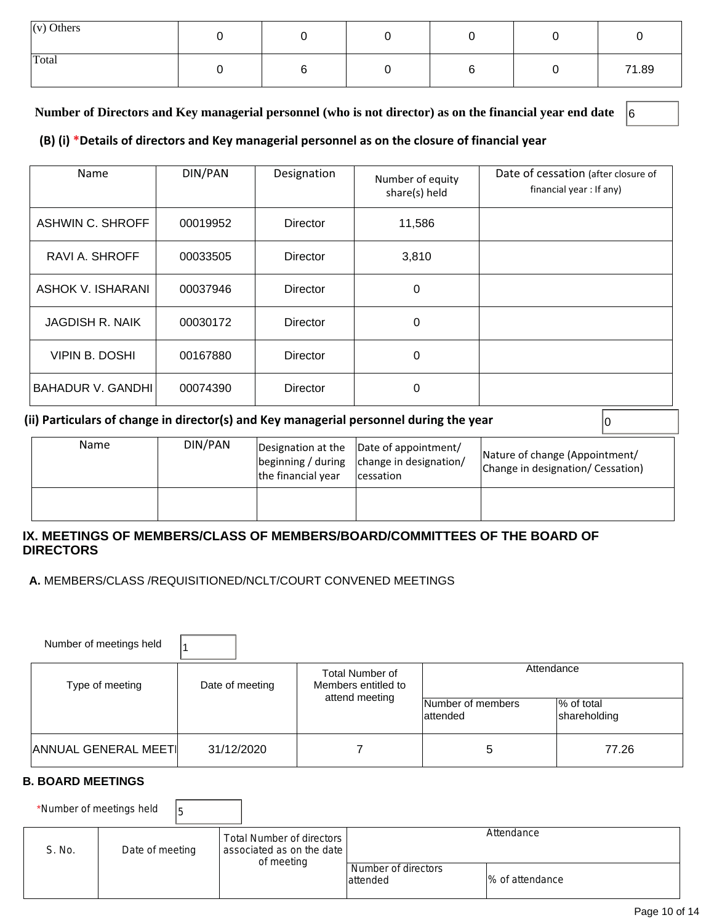| $(v)$ Others |  |  |       |
|--------------|--|--|-------|
| Total        |  |  | 71.89 |

#### **Number of Directors and Key managerial personnel (who is not director) as on the financial year end date** 6

#### **(B) (i) \*Details of directors and Key managerial personnel as on the closure of financial year**

| Name                    | DIN/PAN  | Designation     | Number of equity<br>share(s) held | Date of cessation (after closure of<br>financial year : If any) |
|-------------------------|----------|-----------------|-----------------------------------|-----------------------------------------------------------------|
| <b>ASHWIN C. SHROFF</b> | 00019952 | Director        | 11,586                            |                                                                 |
| RAVI A. SHROFF          | 00033505 | <b>Director</b> | 3,810                             |                                                                 |
| ASHOK V. ISHARANI       | 00037946 | Director        | 0                                 |                                                                 |
| <b>JAGDISH R. NAIK</b>  | 00030172 | Director        | 0                                 |                                                                 |
| VIPIN B. DOSHI          | 00167880 | Director        | $\Omega$                          |                                                                 |
| BAHADUR V. GANDHI       | 00074390 | Director        | $\Omega$                          |                                                                 |

#### **(ii) Particulars of change in director(s) and Key managerial personnel during the year**  $\vert$ **<sup>0</sup>**

| Name | DIN/PAN | the financial year | Designation at the  Date of appointment/<br>$\left  \text{beginning } / \text{ during } \right $ change in designation/<br><i>cessation</i> | Nature of change (Appointment/<br>Change in designation/ Cessation) |
|------|---------|--------------------|---------------------------------------------------------------------------------------------------------------------------------------------|---------------------------------------------------------------------|
|      |         |                    |                                                                                                                                             |                                                                     |

#### **IX. MEETINGS OF MEMBERS/CLASS OF MEMBERS/BOARD/COMMITTEES OF THE BOARD OF DIRECTORS**

 **A.** MEMBERS/CLASS /REQUISITIONED/NCLT/COURT CONVENED MEETINGS

| Number of meetings held |                 |                                        |                               |                            |  |
|-------------------------|-----------------|----------------------------------------|-------------------------------|----------------------------|--|
| Type of meeting         | Date of meeting | Total Number of<br>Members entitled to | Attendance                    |                            |  |
|                         |                 | attend meeting                         | Number of members<br>attended | % of total<br>shareholding |  |
| ANNUAL GENERAL MEETI    | 31/12/2020      |                                        | 5                             | 77.26                      |  |

#### **B. BOARD MEETINGS**

\*Number of meetings held  $\Big|_5$ 

| S. No. | Date of meeting | Total Number of directors I<br>associated as on the date I<br>of meeting | Number of directors | Attendance       |
|--------|-----------------|--------------------------------------------------------------------------|---------------------|------------------|
|        |                 |                                                                          | attended            | 1% of attendance |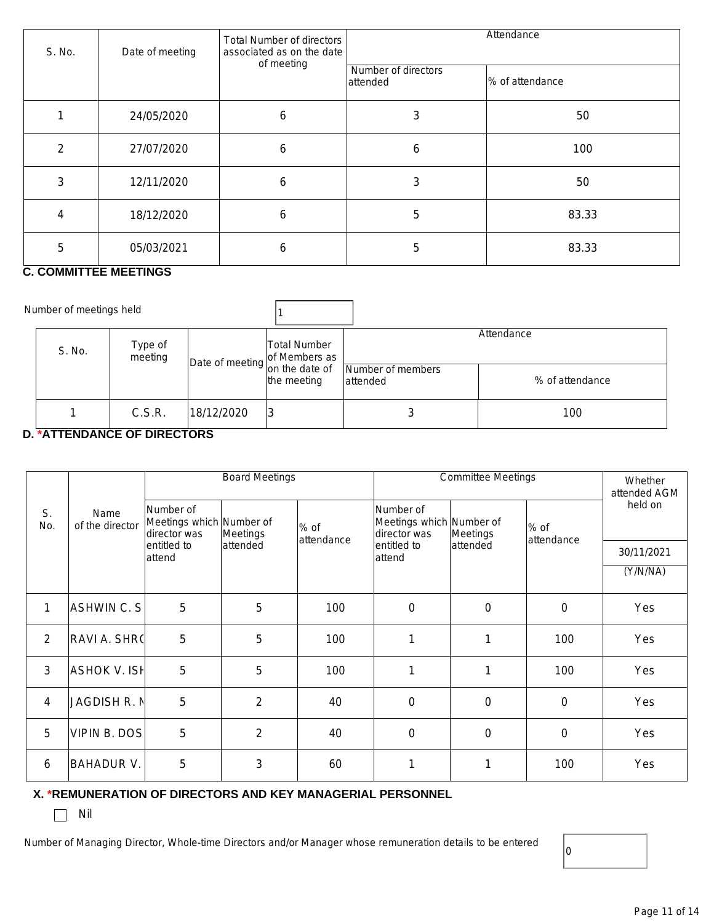| S. No. | Date of meeting | <b>Total Number of directors</b><br>associated as on the date | Attendance                      |                  |  |
|--------|-----------------|---------------------------------------------------------------|---------------------------------|------------------|--|
|        |                 | of meeting                                                    | Number of directors<br>attended | 1% of attendance |  |
|        | 24/05/2020      | 6                                                             | 3                               | 50               |  |
| 2      | 27/07/2020      | 6                                                             | 6                               | 100              |  |
| 3      | 12/11/2020      | 6                                                             | 3                               | 50               |  |
| 4      | 18/12/2020      | 6                                                             | 5                               | 83.33            |  |
| 5      | 05/03/2021      | 6                                                             | 5                               | 83.33            |  |

#### **C. COMMITTEE MEETINGS**

| Number of meetings held |                    |                                 |                             |                               |                               |
|-------------------------|--------------------|---------------------------------|-----------------------------|-------------------------------|-------------------------------|
| S. No.                  | Type of<br>meeting | Date of meeting of Members as ' | Total Number<br>the meeting | Number of members<br>attended | Attendance<br>% of attendance |
|                         | C.S.R.             | 18/12/2020                      | 3                           | J                             | 100                           |

#### **D. \*ATTENDANCE OF DIRECTORS**

|                |                         | <b>Board Meetings</b>                                 |                | <b>Committee Meetings</b> |                                                       |                  | Whether<br>attended AGM |            |
|----------------|-------------------------|-------------------------------------------------------|----------------|---------------------------|-------------------------------------------------------|------------------|-------------------------|------------|
| S.<br>No.      | Name<br>of the director | Number of<br>Meetings which Number of<br>director was | Meetings       | % of<br>attendance        | Number of<br>Meetings which Number of<br>director was | Meetings         | $%$ of<br>attendance    | held on    |
|                |                         | lentitled to<br>attend                                | attended       |                           | entitled to<br>attend                                 | attended         |                         | 30/11/2021 |
|                |                         |                                                       |                |                           |                                                       |                  |                         | (Y/N/NA)   |
| $\mathbf{1}$   | ASHWIN C. S             | 5                                                     | 5              | 100                       | $\mathbf 0$                                           | $\boldsymbol{0}$ | $\mathbf 0$             | Yes        |
| $\overline{2}$ | <b>RAVI A. SHR(</b>     | 5                                                     | 5              | 100                       | 1                                                     | 1                | 100                     | Yes        |
| $\mathfrak{Z}$ | <b>ASHOK V. ISH</b>     | 5                                                     | 5              | 100                       | 1                                                     | 1                | 100                     | Yes        |
| 4              | <b>JAGDISH R. N</b>     | 5                                                     | $\overline{2}$ | 40                        | $\mathbf 0$                                           | $\mathbf 0$      | $\mathbf 0$             | Yes        |
| 5              | <b>VIPIN B. DOS</b>     | 5                                                     | $\overline{2}$ | 40                        | $\mathbf 0$                                           | 0                | $\mathbf 0$             | Yes        |
| 6              | <b>BAHADUR V.</b>       | 5                                                     | 3              | 60                        | 1                                                     | 1                | 100                     | Yes        |

#### **X. \*REMUNERATION OF DIRECTORS AND KEY MANAGERIAL PERSONNEL**

 $\Box$  Nil

Number of Managing Director, Whole-time Directors and/or Manager whose remuneration details to be entered

 $|0\rangle$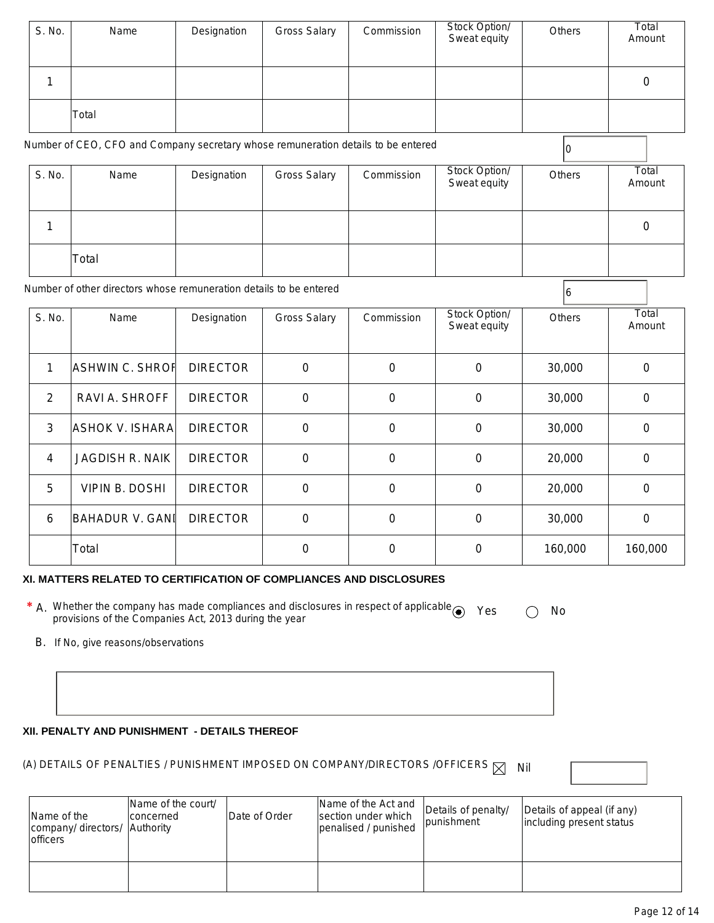| S. No.         | Name                                                                              | Designation     | <b>Gross Salary</b> | Commission       | Stock Option/<br>Sweat equity | Others  | Total<br>Amount  |
|----------------|-----------------------------------------------------------------------------------|-----------------|---------------------|------------------|-------------------------------|---------|------------------|
| $\mathbf{1}$   |                                                                                   |                 |                     |                  |                               |         | $\boldsymbol{0}$ |
|                | Total                                                                             |                 |                     |                  |                               |         |                  |
|                | Number of CEO, CFO and Company secretary whose remuneration details to be entered |                 |                     |                  |                               | 0       |                  |
| S. No.         | Name                                                                              | Designation     | <b>Gross Salary</b> | Commission       | Stock Option/<br>Sweat equity | Others  | Total<br>Amount  |
| 1              |                                                                                   |                 |                     |                  |                               |         | $\boldsymbol{0}$ |
|                | Total                                                                             |                 |                     |                  |                               |         |                  |
|                | Number of other directors whose remuneration details to be entered                |                 |                     |                  |                               | 6       |                  |
| S. No.         | Name                                                                              | Designation     | <b>Gross Salary</b> | Commission       | Stock Option/<br>Sweat equity | Others  | Total<br>Amount  |
| $\mathbf{1}$   | <b>ASHWIN C. SHROF</b>                                                            | <b>DIRECTOR</b> | $\mathbf 0$         | $\mathbf 0$      | $\mathbf 0$                   | 30,000  | $\mathbf 0$      |
| 2              | RAVI A. SHROFF                                                                    | <b>DIRECTOR</b> | 0                   | 0                | $\boldsymbol{0}$              | 30,000  | $\mathbf 0$      |
| 3              | <b>ASHOK V. ISHARA</b>                                                            | <b>DIRECTOR</b> | $\boldsymbol{0}$    | $\boldsymbol{0}$ | $\boldsymbol{0}$              | 30,000  | $\boldsymbol{0}$ |
| $\overline{4}$ | JAGDISH R. NAIK                                                                   | <b>DIRECTOR</b> | $\mathbf 0$         | $\mathbf 0$      | $\mathbf 0$                   | 20,000  | $\mathbf 0$      |
| 5              | <b>VIPIN B. DOSHI</b>                                                             | <b>DIRECTOR</b> | $\mathbf 0$         | 0                | $\mathbf 0$                   | 20,000  | $\mathbf 0$      |
| 6              | <b>BAHADUR V. GANI</b>                                                            | <b>DIRECTOR</b> | $\boldsymbol{0}$    | $\mathbf 0$      | $\boldsymbol{0}$              | 30,000  | $\boldsymbol{0}$ |
|                | Total                                                                             |                 | $\boldsymbol{0}$    | $\mathbf 0$      | $\mathbf 0$                   | 160,000 | 160,000          |

#### **XI. MATTERS RELATED TO CERTIFICATION OF COMPLIANCES AND DISCLOSURES**

- \* A. Whether the company has made compliances and disclosures in respect of applicable <br>provisions of the Companies Act, 2013 during the year
	- B. If No, give reasons/observations

#### **XII. PENALTY AND PUNISHMENT - DETAILS THEREOF**

## (A) DETAILS OF PENALTIES / PUNISHMENT IMPOSED ON COMPANY/DIRECTORS /OFFICERS  $\boxtimes$  Nil

| Name of the<br>company/ directors/ Authority<br><b>officers</b> | Name of the court/<br>concerned | Date of Order | Name of the Act and<br>section under which<br>penalised / punished | Details of penalty/<br><i>punishment</i> | Details of appeal (if any)<br>including present status |
|-----------------------------------------------------------------|---------------------------------|---------------|--------------------------------------------------------------------|------------------------------------------|--------------------------------------------------------|
|                                                                 |                                 |               |                                                                    |                                          |                                                        |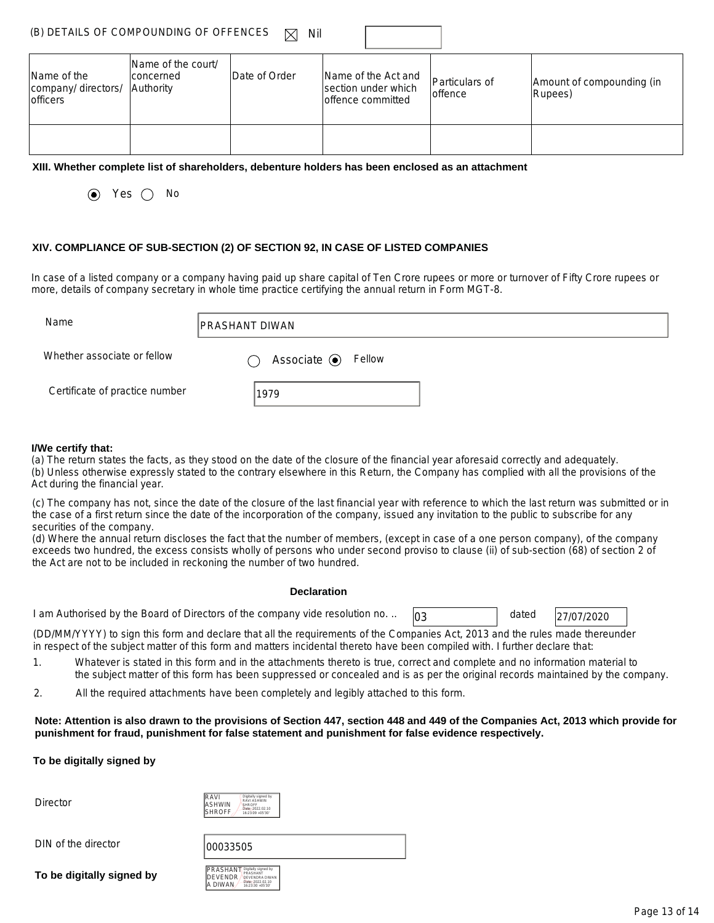| (B) DETAILS OF COMPOUNDING OF OFFENCES $\boxtimes$ Nil |  |
|--------------------------------------------------------|--|
|                                                        |  |

| Name of the<br>company/ directors/<br><b>officers</b> | Name of the court/<br>concerned<br>Authority | Date of Order | Name of the Act and<br>section under which<br>loffence committed | Particulars of<br>loffence | Amount of compounding (in<br>Rupees) |
|-------------------------------------------------------|----------------------------------------------|---------------|------------------------------------------------------------------|----------------------------|--------------------------------------|
|                                                       |                                              |               |                                                                  |                            |                                      |

#### **XIII. Whether complete list of shareholders, debenture holders has been enclosed as an attachment**

 $\odot$  Yes  $\odot$  No

#### **XIV. COMPLIANCE OF SUB-SECTION (2) OF SECTION 92, IN CASE OF LISTED COMPANIES**

In case of a listed company or a company having paid up share capital of Ten Crore rupees or more or turnover of Fifty Crore rupees or more, details of company secretary in whole time practice certifying the annual return in Form MGT-8.

| Name                           | <b>IPRASHANT DIWAN</b>      |
|--------------------------------|-----------------------------|
| Whether associate or fellow    | Associate $\odot$<br>Fellow |
| Certificate of practice number | 1979                        |

#### **I/We certify that:**

(a) The return states the facts, as they stood on the date of the closure of the financial year aforesaid correctly and adequately. (b) Unless otherwise expressly stated to the contrary elsewhere in this Return, the Company has complied with all the provisions of the Act during the financial year.

(c) The company has not, since the date of the closure of the last financial year with reference to which the last return was submitted or in the case of a first return since the date of the incorporation of the company, issued any invitation to the public to subscribe for any securities of the company.

(d) Where the annual return discloses the fact that the number of members, (except in case of a one person company), of the company exceeds two hundred, the excess consists wholly of persons who under second proviso to clause (ii) of sub-section (68) of section 2 of the Act are not to be included in reckoning the number of two hundred.

#### **Declaration**

1 am Authorised by the Board of Directors of the company vide resolution no. ..  $\sqrt{0.3}$  dated  $\sqrt{27/07/2020}$ 

dated

(DD/MM/YYYY) to sign this form and declare that all the requirements of the Companies Act, 2013 and the rules made thereunder in respect of the subject matter of this form and matters incidental thereto have been compiled with. I further declare that:

- 1. Whatever is stated in this form and in the attachments thereto is true, correct and complete and no information material to the subject matter of this form has been suppressed or concealed and is as per the original records maintained by the company.
- 2. All the required attachments have been completely and legibly attached to this form.

**Note: Attention is also drawn to the provisions of Section 447, section 448 and 449 of the Companies Act, 2013 which provide for punishment for fraud, punishment for false statement and punishment for false evidence respectively.** 

#### **To be digitally signed by**

**Director** 

| IVAS<br><b>\SHWIN</b><br>SHROFF | Digitally signed by<br>RAVI ASHWIN<br>SHROFF<br>Date: 2022 02:10<br>16:23:09 +05'30" |
|---------------------------------|--------------------------------------------------------------------------------------|
|---------------------------------|--------------------------------------------------------------------------------------|

DIN of the director  $|00033505$ 

**To be digitally signed by** 



| PRASHANT | Digitally signed by<br>PRASHANT      |  |  |  |
|----------|--------------------------------------|--|--|--|
| DEVENDR  | <b>DEVENDRA DIWAN</b>                |  |  |  |
| A DIWAN  | Date: 2022 02:10<br>16:23:30 +05:30" |  |  |  |